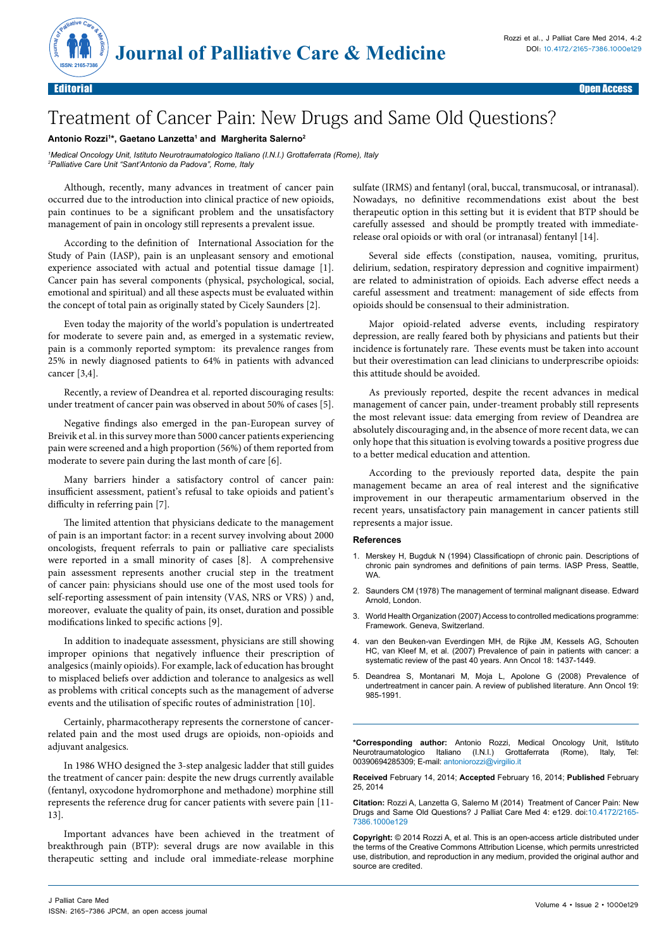

## Treatment of Cancer Pain: New Drugs and Same Old Questions?

## **Antonio Rozzi1 \*, Gaetano Lanzetta1 and Margherita Salerno2**

*1 Medical Oncology Unit, Istituto Neurotraumatologico Italiano (I.N.I.) Grottaferrata (Rome), Italy 2 Palliative Care Unit "Sant'Antonio da Padova", Rome, Italy*

Although, recently, many advances in treatment of cancer pain occurred due to the introduction into clinical practice of new opioids, pain continues to be a significant problem and the unsatisfactory management of pain in oncology still represents a prevalent issue.

According to the definition of International Association for the Study of Pain (IASP), pain is an unpleasant sensory and emotional experience associated with actual and potential tissue damage [1]. Cancer pain has several components (physical, psychological, social, emotional and spiritual) and all these aspects must be evaluated within the concept of total pain as originally stated by Cicely Saunders [2].

Even today the majority of the world's population is undertreated for moderate to severe pain and, as emerged in a systematic review, pain is a commonly reported symptom: its prevalence ranges from 25% in newly diagnosed patients to 64% in patients with advanced cancer [3,4].

Recently, a review of Deandrea et al. reported discouraging results: under treatment of cancer pain was observed in about 50% of cases [5].

Negative findings also emerged in the pan-European survey of Breivik et al. in this survey more than 5000 cancer patients experiencing pain were screened and a high proportion (56%) of them reported from moderate to severe pain during the last month of care [6].

Many barriers hinder a satisfactory control of cancer pain: insufficient assessment, patient's refusal to take opioids and patient's difficulty in referring pain [7].

The limited attention that physicians dedicate to the management of pain is an important factor: in a recent survey involving about 2000 oncologists, frequent referrals to pain or palliative care specialists were reported in a small minority of cases [8]. A comprehensive pain assessment represents another crucial step in the treatment of cancer pain: physicians should use one of the most used tools for self-reporting assessment of pain intensity (VAS, NRS or VRS) ) and, moreover, evaluate the quality of pain, its onset, duration and possible modifications linked to specific actions [9].

In addition to inadequate assessment, physicians are still showing improper opinions that negatively influence their prescription of analgesics (mainly opioids). For example, lack of education has brought to misplaced beliefs over addiction and tolerance to analgesics as well as problems with critical concepts such as the management of adverse events and the utilisation of specific routes of administration [10].

Certainly, pharmacotherapy represents the cornerstone of cancerrelated pain and the most used drugs are opioids, non-opioids and adjuvant analgesics.

In 1986 WHO designed the 3-step analgesic ladder that still guides the treatment of cancer pain: despite the new drugs currently available (fentanyl, oxycodone hydromorphone and methadone) morphine still represents the reference drug for cancer patients with severe pain [11- 13].

Important advances have been achieved in the treatment of breakthrough pain (BTP): several drugs are now available in this therapeutic setting and include oral immediate-release morphine

sulfate (IRMS) and fentanyl (oral, buccal, transmucosal, or intranasal). Nowadays, no definitive recommendations exist about the best therapeutic option in this setting but it is evident that BTP should be carefully assessed and should be promptly treated with immediaterelease oral opioids or with oral (or intranasal) fentanyl [14].

Several side effects (constipation, nausea, vomiting, pruritus, delirium, sedation, respiratory depression and cognitive impairment) are related to administration of opioids. Each adverse effect needs a careful assessment and treatment: management of side effects from opioids should be consensual to their administration.

Major opioid-related adverse events, including respiratory depression, are really feared both by physicians and patients but their incidence is fortunately rare. These events must be taken into account but their overestimation can lead clinicians to underprescribe opioids: this attitude should be avoided.

As previously reported, despite the recent advances in medical management of cancer pain, under-treament probably still represents the most relevant issue: data emerging from review of Deandrea are absolutely discouraging and, in the absence of more recent data, we can only hope that this situation is evolving towards a positive progress due to a better medical education and attention.

According to the previously reported data, despite the pain management became an area of real interest and the significative improvement in our therapeutic armamentarium observed in the recent years, unsatisfactory pain management in cancer patients still represents a major issue.

## **References**

- 1. [Merskey H, Bugduk N \(1994\) Classificatiopn of chronic pain. Descriptions of](http://books.google.co.in/books/about/Classification_of_chronic_pain.html?id=GqhqAAAAMAAJ&redir_esc=y)  [chronic pain syndromes and definitions of pain terms. IASP Press, Seattle,](http://books.google.co.in/books/about/Classification_of_chronic_pain.html?id=GqhqAAAAMAAJ&redir_esc=y)  **WA**
- 2. [Saunders CM \(1978\) The management of terminal malignant disease. Edward](http://books.google.co.in/books/about/The_Management_of_terminal_disease.html?id=1kJrAAAAMAAJ&redir_esc=y)  [Arnold, London.](http://books.google.co.in/books/about/The_Management_of_terminal_disease.html?id=1kJrAAAAMAAJ&redir_esc=y)
- 3. [World Health Organization \(2007\) Access to controlled medications programme:](http://www.who.int/medicines/areas/quality_safety/Framework_ACMP_withcover.pdf)  [Framework. Geneva, Switzerland.](http://www.who.int/medicines/areas/quality_safety/Framework_ACMP_withcover.pdf)
- [van den Beuken-van Everdingen MH, de Rijke JM, Kessels AG, Schouten](http://www.ncbi.nlm.nih.gov/pubmed/17355955) [HC, van Kleef M, et al. \(2007\) Prevalence of pain in patients with cancer: a](http://www.ncbi.nlm.nih.gov/pubmed/17355955) [systematic review of the past 40 years. Ann Oncol 18: 1437-1449.](http://www.ncbi.nlm.nih.gov/pubmed/17355955)
- 5. [Deandrea S, Montanari M, Moja L, Apolone G \(2008\) Prevalence of](http://www.ncbi.nlm.nih.gov/pubmed/18632721) [undertreatment in cancer pain. A review of published literature. Ann Oncol 19:](http://www.ncbi.nlm.nih.gov/pubmed/18632721) [985-1991.](http://www.ncbi.nlm.nih.gov/pubmed/18632721)

**\*Corresponding author:** Antonio Rozzi, Medical Oncology Unit, Istituto Neurotraumatologico Italiano (I.N.I.) Grottaferrata (Rome), Italy, Tel: 00390694285309; E-mail: antoniorozzi@virgilio.it

**Received** February 14, 2014; **Accepted** February 16, 2014; **Published** February 25, 2014

**Citation:** Rozzi A, Lanzetta G, Salerno M (2014) Treatment of Cancer Pain: New Drugs and Same Old Questions? J Palliat Care Med 4: e129. doi:10.4172/2165- 7386.1000e129

**Copyright:** © 2014 Rozzi A, et al. This is an open-access article distributed under the terms of the Creative Commons Attribution License, which permits unrestricted use, distribution, and reproduction in any medium, provided the original author and source are credited.